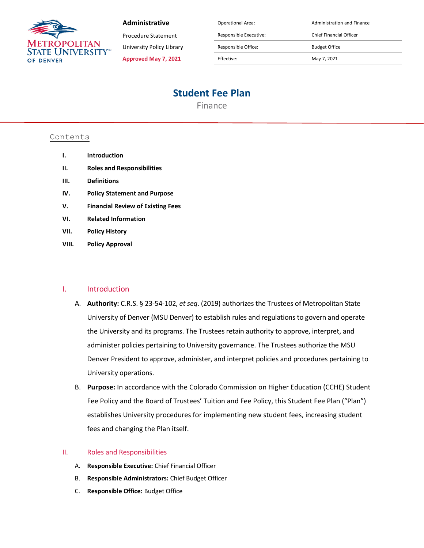

#### **Administrative**

Procedure Statement

University Policy Library

**Approved May 7, 2021**

| <b>Operational Area:</b> | <b>Administration and Finance</b> |
|--------------------------|-----------------------------------|
| Responsible Executive:   | <b>Chief Financial Officer</b>    |
| Responsible Office:      | <b>Budget Office</b>              |
| Effective:               | May 7, 2021                       |

# **Student Fee Plan**

Finance

## Contents

- **I. Introduction**
- **II. Roles and Responsibilities**
- **III. Definitions**
- **IV. Policy Statement and Purpose**
- **V. Financial Review of Existing Fees**
- **VI. Related Information**
- **VII. Policy History**
- **VIII. Policy Approval**

## I. Introduction

- A. **Authority:** C.R.S. § 23-54-102, *et seq*. (2019) authorizes the Trustees of Metropolitan State University of Denver (MSU Denver) to establish rules and regulations to govern and operate the University and its programs. The Trustees retain authority to approve, interpret, and administer policies pertaining to University governance. The Trustees authorize the MSU Denver President to approve, administer, and interpret policies and procedures pertaining to University operations.
- B. **Purpose:** In accordance with the Colorado Commission on Higher Education (CCHE) Student Fee Policy and the Board of Trustees' Tuition and Fee Policy, this Student Fee Plan ("Plan") establishes University procedures for implementing new student fees, increasing student fees and changing the Plan itself.

#### II. Roles and Responsibilities

- A. **Responsible Executive:** Chief Financial Officer
- B. **Responsible Administrators:** Chief Budget Officer
- C. **Responsible Office:** Budget Office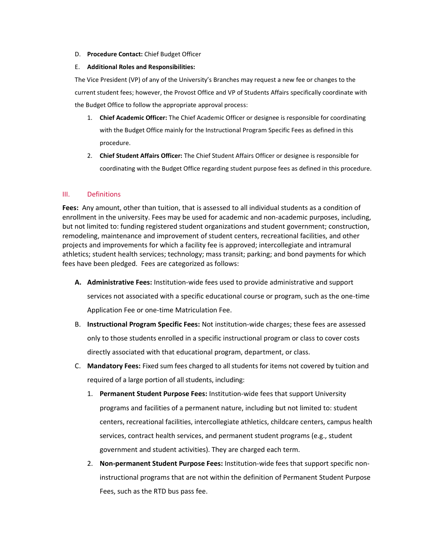#### D. **Procedure Contact:** Chief Budget Officer

#### E. **Additional Roles and Responsibilities:**

The Vice President (VP) of any of the University's Branches may request a new fee or changes to the current student fees; however, the Provost Office and VP of Students Affairs specifically coordinate with the Budget Office to follow the appropriate approval process:

- 1. **Chief Academic Officer:** The Chief Academic Officer or designee is responsible for coordinating with the Budget Office mainly for the Instructional Program Specific Fees as defined in this procedure.
- 2. **Chief Student Affairs Officer:** The Chief Student Affairs Officer or designee is responsible for coordinating with the Budget Office regarding student purpose fees as defined in this procedure.

## III. Definitions

**Fees:** Any amount, other than tuition, that is assessed to all individual students as a condition of enrollment in the university. Fees may be used for academic and non-academic purposes, including, but not limited to: funding registered student organizations and student government; construction, remodeling, maintenance and improvement of student centers, recreational facilities, and other projects and improvements for which a facility fee is approved; intercollegiate and intramural athletics; student health services; technology; mass transit; parking; and bond payments for which fees have been pledged. Fees are categorized as follows:

- **A. Administrative Fees:** Institution-wide fees used to provide administrative and support services not associated with a specific educational course or program, such as the one-time Application Fee or one-time Matriculation Fee.
- B. **Instructional Program Specific Fees:** Not institution-wide charges; these fees are assessed only to those students enrolled in a specific instructional program or class to cover costs directly associated with that educational program, department, or class.
- C. **Mandatory Fees:** Fixed sum fees charged to all students for items not covered by tuition and required of a large portion of all students, including:
	- 1. **Permanent Student Purpose Fees:** Institution-wide fees that support University programs and facilities of a permanent nature, including but not limited to: student centers, recreational facilities, intercollegiate athletics, childcare centers, campus health services, contract health services, and permanent student programs (e.g., student government and student activities). They are charged each term.
	- 2. **Non-permanent Student Purpose Fees:** Institution-wide fees that support specific noninstructional programs that are not within the definition of Permanent Student Purpose Fees, such as the RTD bus pass fee.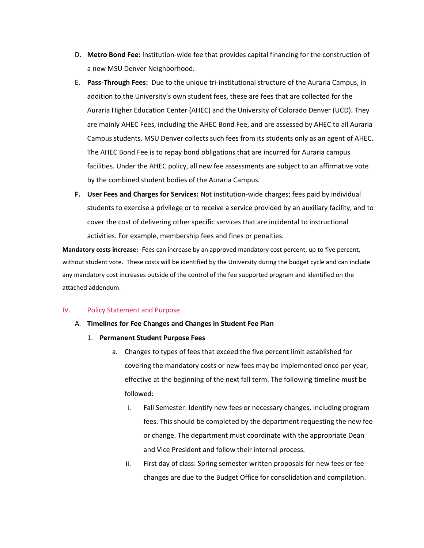- D. **Metro Bond Fee:** Institution-wide fee that provides capital financing for the construction of a new MSU Denver Neighborhood.
- E. **Pass-Through Fees:** Due to the unique tri-institutional structure of the Auraria Campus, in addition to the University's own student fees, these are fees that are collected for the Auraria Higher Education Center (AHEC) and the University of Colorado Denver (UCD). They are mainly AHEC Fees, including the AHEC Bond Fee, and are assessed by AHEC to all Auraria Campus students. MSU Denver collects such fees from its students only as an agent of AHEC. The AHEC Bond Fee is to repay bond obligations that are incurred for Auraria campus facilities. Under the AHEC policy, all new fee assessments are subject to an affirmative vote by the combined student bodies of the Auraria Campus.
- **F. User Fees and Charges for Services:** Not institution-wide charges; fees paid by individual students to exercise a privilege or to receive a service provided by an auxiliary facility, and to cover the cost of delivering other specific services that are incidental to instructional activities. For example, membership fees and fines or penalties.

**Mandatory costs increase:** Fees can increase by an approved mandatory cost percent, up to five percent, without student vote. These costs will be identified by the University during the budget cycle and can include any mandatory cost increases outside of the control of the fee supported program and identified on the attached addendum.

#### IV. Policy Statement and Purpose

- A. **Timelines for Fee Changes and Changes in Student Fee Plan**
	- 1. **Permanent Student Purpose Fees**
		- a. Changes to types of fees that exceed the five percent limit established for covering the mandatory costs or new fees may be implemented once per year, effective at the beginning of the next fall term. The following timeline must be followed:
			- i. Fall Semester: Identify new fees or necessary changes, including program fees. This should be completed by the department requesting the new fee or change. The department must coordinate with the appropriate Dean and Vice President and follow their internal process.
			- ii. First day of class: Spring semester written proposals for new fees or fee changes are due to the Budget Office for consolidation and compilation.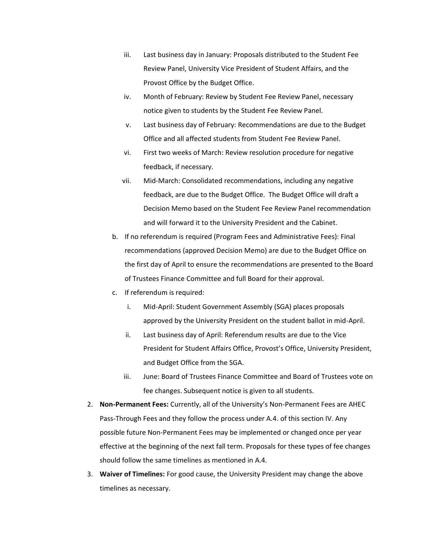- iii. Last business day in January: Proposals distributed to the Student Fee Review Panel, University Vice President of Student Affairs, and the Provost Office by the Budget Office.
- iv. Month of February: Review by Student Fee Review Panel, necessary notice given to students by the Student Fee Review Panel.
- v. Last business day of February: Recommendations are due to the Budget Office and all affected students from Student Fee Review Panel.
- vi. First two weeks of March: Review resolution procedure for negative feedback, if necessary.
- vii. Mid-March: Consolidated recommendations, including any negative feedback, are due to the Budget Office. The Budget Office will draft a Decision Memo based on the Student Fee Review Panel recommendation and will forward it to the University President and the Cabinet.
- b. If no referendum is required (Program Fees and Administrative Fees): Final recommendations (approved Decision Memo) are due to the Budget Office on the first day of April to ensure the recommendations are presented to the Board of Trustees Finance Committee and full Board for their approval.
- c. If referendum is required:
	- i. Mid-April: Student Government Assembly (SGA) places proposals approved by the University President on the student ballot in mid-April.
	- ii. Last business day of April: Referendum results are due to the Vice President for Student Affairs Office, Provost's Office, University President, and Budget Office from the SGA.
	- iii. June: Board of Trustees Finance Committee and Board of Trustees vote on fee changes. Subsequent notice is given to all students.
- 2. **Non-Permanent Fees:** Currently, all of the University's Non-Permanent Fees are AHEC Pass-Through Fees and they follow the process under A.4. of this section IV. Any possible future Non-Permanent Fees may be implemented or changed once per year effective at the beginning of the next fall term. Proposals for these types of fee changes should follow the same timelines as mentioned in A.4.
- 3. **Waiver of Timelines:** For good cause, the University President may change the above timelines as necessary.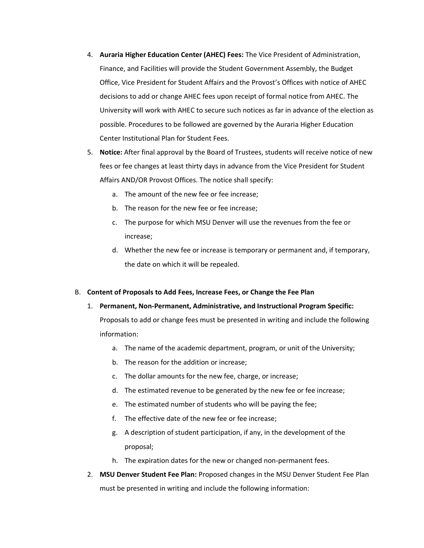- 4. **Auraria Higher Education Center (AHEC) Fees:** The Vice President of Administration, Finance, and Facilities will provide the Student Government Assembly, the Budget Office, Vice President for Student Affairs and the Provost's Offices with notice of AHEC decisions to add or change AHEC fees upon receipt of formal notice from AHEC. The University will work with AHEC to secure such notices as far in advance of the election as possible. Procedures to be followed are governed by the Auraria Higher Education Center Institutional Plan for Student Fees.
- 5. **Notice:** After final approval by the Board of Trustees, students will receive notice of new fees or fee changes at least thirty days in advance from the Vice President for Student Affairs AND/OR Provost Offices. The notice shall specify:
	- a. The amount of the new fee or fee increase;
	- b. The reason for the new fee or fee increase;
	- c. The purpose for which MSU Denver will use the revenues from the fee or increase;
	- d. Whether the new fee or increase is temporary or permanent and, if temporary, the date on which it will be repealed.

#### B. **Content of Proposals to Add Fees, Increase Fees, or Change the Fee Plan**

- 1. **Permanent, Non-Permanent, Administrative, and Instructional Program Specific:** Proposals to add or change fees must be presented in writing and include the following information:
	- a. The name of the academic department, program, or unit of the University;
	- b. The reason for the addition or increase;
	- c. The dollar amounts for the new fee, charge, or increase;
	- d. The estimated revenue to be generated by the new fee or fee increase;
	- e. The estimated number of students who will be paying the fee;
	- f. The effective date of the new fee or fee increase;
	- g. A description of student participation, if any, in the development of the proposal;
	- h. The expiration dates for the new or changed non-permanent fees.
- 2. **MSU Denver Student Fee Plan:** Proposed changes in the MSU Denver Student Fee Plan must be presented in writing and include the following information: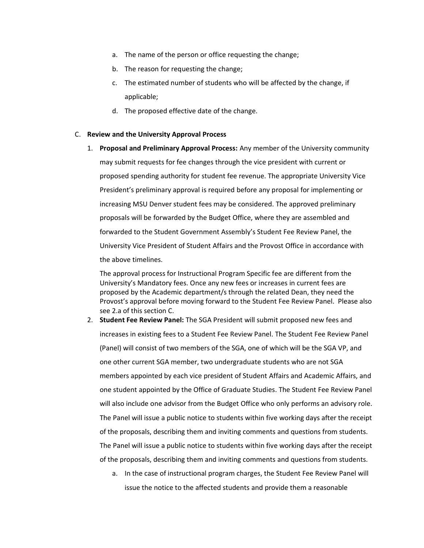- a. The name of the person or office requesting the change;
- b. The reason for requesting the change;
- c. The estimated number of students who will be affected by the change, if applicable;
- d. The proposed effective date of the change.

#### C. **Review and the University Approval Process**

1. **Proposal and Preliminary Approval Process:** Any member of the University community may submit requests for fee changes through the vice president with current or proposed spending authority for student fee revenue. The appropriate University Vice President's preliminary approval is required before any proposal for implementing or increasing MSU Denver student fees may be considered. The approved preliminary proposals will be forwarded by the Budget Office, where they are assembled and forwarded to the Student Government Assembly's Student Fee Review Panel, the University Vice President of Student Affairs and the Provost Office in accordance with the above timelines.

The approval process for Instructional Program Specific fee are different from the University's Mandatory fees. Once any new fees or increases in current fees are proposed by the Academic department/s through the related Dean, they need the Provost's approval before moving forward to the Student Fee Review Panel. Please also see 2.a of this section C.

- 2. **Student Fee Review Panel:** The SGA President will submit proposed new fees and increases in existing fees to a Student Fee Review Panel. The Student Fee Review Panel (Panel) will consist of two members of the SGA, one of which will be the SGA VP, and one other current SGA member, two undergraduate students who are not SGA members appointed by each vice president of Student Affairs and Academic Affairs, and one student appointed by the Office of Graduate Studies. The Student Fee Review Panel will also include one advisor from the Budget Office who only performs an advisory role. The Panel will issue a public notice to students within five working days after the receipt of the proposals, describing them and inviting comments and questions from students. The Panel will issue a public notice to students within five working days after the receipt of the proposals, describing them and inviting comments and questions from students.
	- a. In the case of instructional program charges, the Student Fee Review Panel will issue the notice to the affected students and provide them a reasonable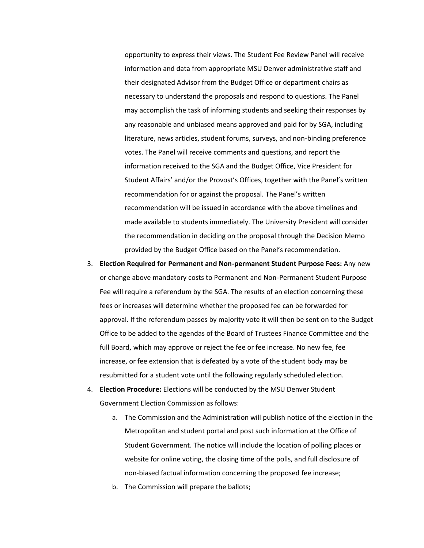opportunity to express their views. The Student Fee Review Panel will receive information and data from appropriate MSU Denver administrative staff and their designated Advisor from the Budget Office or department chairs as necessary to understand the proposals and respond to questions. The Panel may accomplish the task of informing students and seeking their responses by any reasonable and unbiased means approved and paid for by SGA, including literature, news articles, student forums, surveys, and non-binding preference votes. The Panel will receive comments and questions, and report the information received to the SGA and the Budget Office, Vice President for Student Affairs' and/or the Provost's Offices, together with the Panel's written recommendation for or against the proposal. The Panel's written recommendation will be issued in accordance with the above timelines and made available to students immediately. The University President will consider the recommendation in deciding on the proposal through the Decision Memo provided by the Budget Office based on the Panel's recommendation.

- 3. **Election Required for Permanent and Non-permanent Student Purpose Fees:** Any new or change above mandatory costs to Permanent and Non-Permanent Student Purpose Fee will require a referendum by the SGA. The results of an election concerning these fees or increases will determine whether the proposed fee can be forwarded for approval. If the referendum passes by majority vote it will then be sent on to the Budget Office to be added to the agendas of the Board of Trustees Finance Committee and the full Board, which may approve or reject the fee or fee increase. No new fee, fee increase, or fee extension that is defeated by a vote of the student body may be resubmitted for a student vote until the following regularly scheduled election.
- 4. **Election Procedure:** Elections will be conducted by the MSU Denver Student Government Election Commission as follows:
	- a. The Commission and the Administration will publish notice of the election in the Metropolitan and student portal and post such information at the Office of Student Government. The notice will include the location of polling places or website for online voting, the closing time of the polls, and full disclosure of non-biased factual information concerning the proposed fee increase;
	- b. The Commission will prepare the ballots;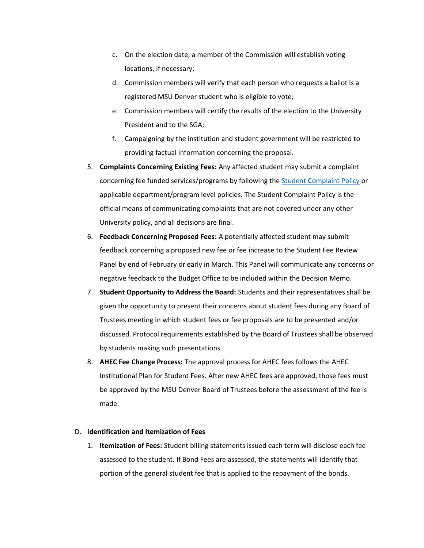- c. On the election date, a member of the Commission will establish voting locations, if necessary;
- d. Commission members will verify that each person who requests a ballot is a registered MSU Denver student who is eligible to vote;
- e. Commission members will certify the results of the election to the University President and to the SGA;
- f. Campaigning by the institution and student government will be restricted to providing factual information concerning the proposal.
- 5. **Complaints Concerning Existing Fees:** Any affected student may submit a complaint concerning fee funded services/programs by following the [Student Complaint Policy](https://nam04.safelinks.protection.outlook.com/?url=https%3A%2F%2Fwww.msudenver.edu%2Fpolicy%2Fpolicylibrary%2Fpoliciesa-z%2Fstudentcomplaints%2F&data=02%7C01%7Clari%40msudenver.edu%7C69fa452aa6944d54e12e08d86641ec1e%7C03309ca417334af9a73cf18cc841325c%7C1%7C0%7C637371780613162240&sdata=FU0pyRLfXBApwkGTg6LmXEPw5iKfrvFXWLS4qf16WJY%3D&reserved=0) or applicable department/program level policies. The Student Complaint Policy is the official means of communicating complaints that are not covered under any other University policy, and all decisions are final.
- 6. **Feedback Concerning Proposed Fees:** A potentially affected student may submit feedback concerning a proposed new fee or fee increase to the Student Fee Review Panel by end of February or early in March. This Panel will communicate any concerns or negative feedback to the Budget Office to be included within the Decision Memo.
- 7. **Student Opportunity to Address the Board:** Students and their representatives shall be given the opportunity to present their concerns about student fees during any Board of Trustees meeting in which student fees or fee proposals are to be presented and/or discussed. Protocol requirements established by the Board of Trustees shall be observed by students making such presentations.
- 8. **AHEC Fee Change Process:** The approval process for AHEC fees follows the AHEC Institutional Plan for Student Fees. After new AHEC fees are approved, those fees must be approved by the MSU Denver Board of Trustees before the assessment of the fee is made.

#### D. **Identification and Itemization of Fees**

1. **Itemization of Fees:** Student billing statements issued each term will disclose each fee assessed to the student. If Bond Fees are assessed, the statements will identify that portion of the general student fee that is applied to the repayment of the bonds.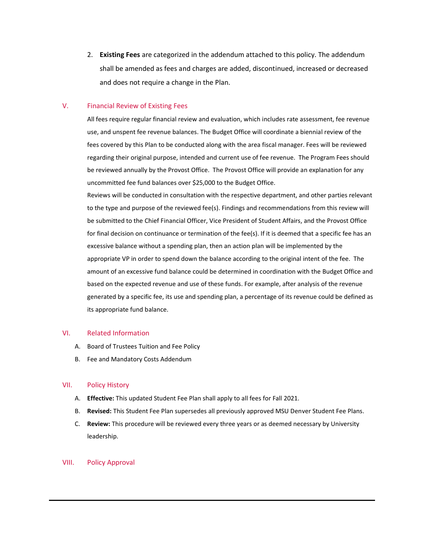2. **Existing Fees** are categorized in the addendum attached to this policy. The addendum shall be amended as fees and charges are added, discontinued, increased or decreased and does not require a change in the Plan.

## V. Financial Review of Existing Fees

All fees require regular financial review and evaluation, which includes rate assessment, fee revenue use, and unspent fee revenue balances. The Budget Office will coordinate a biennial review of the fees covered by this Plan to be conducted along with the area fiscal manager. Fees will be reviewed regarding their original purpose, intended and current use of fee revenue. The Program Fees should be reviewed annually by the Provost Office. The Provost Office will provide an explanation for any uncommitted fee fund balances over \$25,000 to the Budget Office.

Reviews will be conducted in consultation with the respective department, and other parties relevant to the type and purpose of the reviewed fee(s). Findings and recommendations from this review will be submitted to the Chief Financial Officer, Vice President of Student Affairs, and the Provost Office for final decision on continuance or termination of the fee(s). If it is deemed that a specific fee has an excessive balance without a spending plan, then an action plan will be implemented by the appropriate VP in order to spend down the balance according to the original intent of the fee. The amount of an excessive fund balance could be determined in coordination with the Budget Office and based on the expected revenue and use of these funds. For example, after analysis of the revenue generated by a specific fee, its use and spending plan, a percentage of its revenue could be defined as its appropriate fund balance.

#### VI. Related Information

- A. Board of Trustees Tuition and Fee Policy
- B. Fee and Mandatory Costs Addendum

# VII. Policy History

- A. **Effective:** This updated Student Fee Plan shall apply to all fees for Fall 2021.
- B. **Revised:** This Student Fee Plan supersedes all previously approved MSU Denver Student Fee Plans.
- C. **Review:** This procedure will be reviewed every three years or as deemed necessary by University leadership.

#### VIII. Policy Approval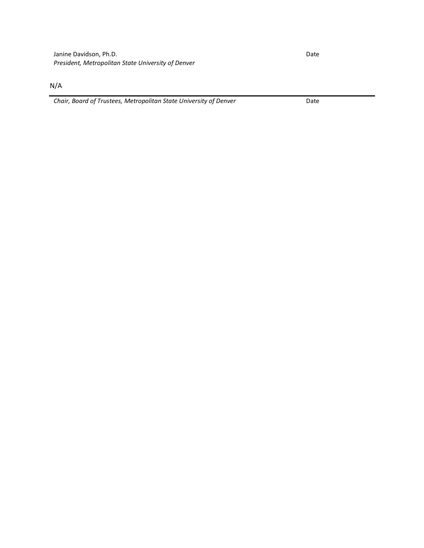N/A

*Chair, Board of Trustees, Metropolitan State University of Denver* Date

Date